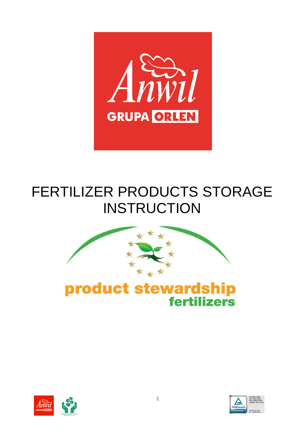

# FERTILIZER PRODUCTS STORAGE INSTRUCTION









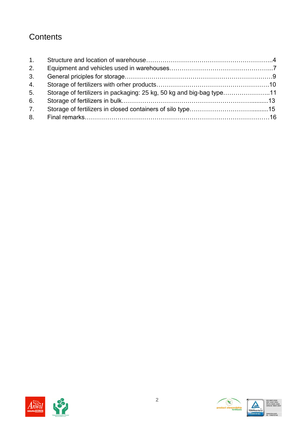# **Contents**

| 1. |                                                                      |  |
|----|----------------------------------------------------------------------|--|
| 2. |                                                                      |  |
| 3. |                                                                      |  |
| 4. |                                                                      |  |
| 5. | Storage of fertilizers in packaging: 25 kg, 50 kg and big-bag type11 |  |
| 6. |                                                                      |  |
| 7. |                                                                      |  |
| 8. |                                                                      |  |



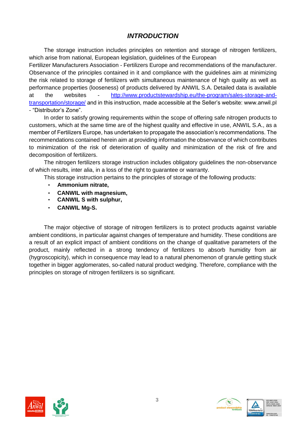#### *INTRODUCTION*

The storage instruction includes principles on retention and storage of nitrogen fertilizers, which arise from national, European legislation, guidelines of the European

Fertilizer Manufacturers Association - Fertilizers Europe and recommendations of the manufacturer. Observance of the principles contained in it and compliance with the guidelines aim at minimizing the risk related to storage of fertilizers with simultaneous maintenance of high quality as well as performance properties (looseness) of products delivered by ANWIL S.A. Detailed data is available at the websites - [http://www.productstewardship.eu/the-program/sales-storage-and](http://www.productstewardship.eu/the-program/sales-storage-and-transportation/storage/_oraz_wniniejszej_instrukcji,_udost%c4%99pnionej_na_stronie_internetowej_Sprzedawcy_www.anwil.pl_-_%e2%80%9eStrefaDystrybutora%e2%80%9d)transportation/storage/ [and in this instruction, made accessible at the Seller's website: www.anwil.pl](http://www.productstewardship.eu/the-program/sales-storage-and-transportation/storage/_oraz_wniniejszej_instrukcji,_udost%c4%99pnionej_na_stronie_internetowej_Sprzedawcy_www.anwil.pl_-_%e2%80%9eStrefaDystrybutora%e2%80%9d)  - ["Distributor's Zone".](http://www.productstewardship.eu/the-program/sales-storage-and-transportation/storage/_oraz_wniniejszej_instrukcji,_udost%c4%99pnionej_na_stronie_internetowej_Sprzedawcy_www.anwil.pl_-_%e2%80%9eStrefaDystrybutora%e2%80%9d)

In order to satisfy growing requirements within the scope of offering safe nitrogen products to customers, which at the same time are of the highest quality and effective in use, ANWIL S.A., as a member of Fertilizers Europe, has undertaken to propagate the association's recommendations. The recommendations contained herein aim at providing information the observance of which contributes to minimization of the risk of deterioration of quality and minimization of the risk of fire and decomposition of fertilizers.

The nitrogen fertilizers storage instruction includes obligatory guidelines the non-observance of which results, inter alia, in a loss of the right to guarantee or warranty.

This storage instruction pertains to the principles of storage of the following products:

- **Ammonium nitrate,**
- **CANWIL with magnesium,**
- **CANWIL S with sulphur,**
- **CANWIL Mg-S.**

The major objective of storage of nitrogen fertilizers is to protect products against variable ambient conditions, in particular against changes of temperature and humidity. These conditions are a result of an explicit impact of ambient conditions on the change of qualitative parameters of the product, mainly reflected in a strong tendency of fertilizers to absorb humidity from air (hygroscopicity), which in consequence may lead to a natural phenomenon of granule getting stuck together in bigger agglomerates, so-called natural product wedging. Therefore, compliance with the principles on storage of nitrogen fertilizers is so significant.



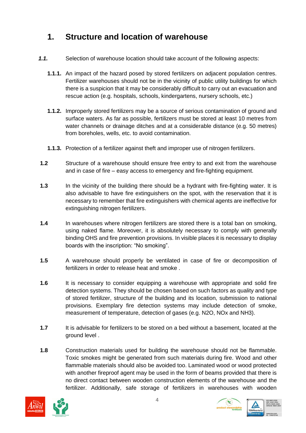# **1. Structure and location of warehouse**

- *1.1.* Selection of warehouse location should take account of the following aspects:
	- **1.1.1.** An impact of the hazard posed by stored fertilizers on adjacent population centres. Fertilizer warehouses should not be in the vicinity of public utility buildings for which there is a suspicion that it may be considerably difficult to carry out an evacuation and rescue action (e.g. hospitals, schools, kindergartens, nursery schools, etc.)
	- **1.1.2.** Improperly stored fertilizers may be a source of serious contamination of ground and surface waters. As far as possible, fertilizers must be stored at least 10 metres from water channels or drainage ditches and at a considerable distance (e.g. 50 metres) from boreholes, wells, etc. to avoid contamination.
	- **1.1.3.** Protection of a fertilizer against theft and improper use of nitrogen fertilizers.
- **1.2** Structure of a warehouse should ensure free entry to and exit from the warehouse and in case of fire – easy access to emergency and fire-fighting equipment.
- **1.3** In the vicinity of the building there should be a hydrant with fire-fighting water. It is also advisable to have fire extinguishers on the spot, with the reservation that it is necessary to remember that fire extinguishers with chemical agents are ineffective for extinguishing nitrogen fertilizers.
- **1.4** In warehouses where nitrogen fertilizers are stored there is a total ban on smoking, using naked flame. Moreover, it is absolutely necessary to comply with generally binding OHS and fire prevention provisions. In visible places it is necessary to display boards with the inscription: "No smoking".
- **1.5** A warehouse should properly be ventilated in case of fire or decomposition of fertilizers in order to release heat and smoke .
- **1.6** It is necessary to consider equipping a warehouse with appropriate and solid fire detection systems. They should be chosen based on such factors as quality and type of stored fertilizer, structure of the building and its location, submission to national provisions. Exemplary fire detection systems may include detection of smoke, measurement of temperature, detection of gases (e.g. N2O, NOx and NH3).
- **1.7** It is advisable for fertilizers to be stored on a bed without a basement, located at the ground level .
- **1.8** Construction materials used for building the warehouse should not be flammable. Toxic smokes might be generated from such materials during fire. Wood and other flammable materials should also be avoided too. Laminated wood or wood protected with another fireproof agent may be used in the form of beams provided that there is no direct contact between wooden construction elements of the warehouse and the fertilizer. Additionally, safe storage of fertilizers in warehouses with wooden







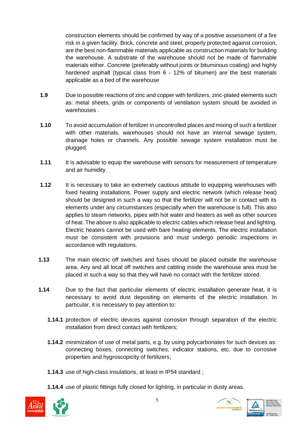construction elements should be confirmed by way of a positive assessment of a fire risk in a given facility. Brick, concrete and steel, properly protected against corrosion, are the best non-flammable materials applicable as construction materials for building the warehouse. A substrate of the warehouse should not be made of flammable materials either. Concrete (preferably without joints or bituminous coating) and highly hardened asphalt (typical class from 6 - 12% of bitumen) are the best materials applicable as a bed of the warehouse

- **1.9** Due to possible reactions of zinc and copper with fertilizers, zinc-plated elements such as: metal sheets, grids or components of ventilation system should be avoided in warehouses .
- **1.10** To avoid accumulation of fertilizer in uncontrolled places and mixing of such a fertilizer with other materials, warehouses should not have an internal sewage system, drainage holes or channels. Any possible sewage system installation must be plugged.
- **1.11** It is advisable to equip the warehouse with sensors for measurement of temperature and air humidity.
- **1.12** It is necessary to take an extremely cautious attitude to equipping warehouses with fixed heating installations. Power supply and electric network (which release heat) should be designed in such a way so that the fertilizer will not be in contact with its elements under any circumstances (especially when the warehouse is full). This also applies to steam networks, pipes with hot water and heaters as well as other sources of heat. The above is also applicable to electric cables which release heat and lighting. Electric heaters cannot be used with bare heating elements. The electric installation must be consistent with provisions and must undergo periodic inspections in accordance with regulations.
- **1.13** The main electric off switches and fuses should be placed outside the warehouse area. Any and all local off switches and cabling inside the warehouse area must be placed in such a way so that they will have no contact with the fertilizer stored.
- **1.14** Due to the fact that particular elements of electric installation generate heat, it is necessary to avoid dust depositing on elements of the electric installation. In particular, it is necessary to pay attention to:
	- **1.14.1** protection of electric devices against corrosion through separation of the electric installation from direct contact with fertilizers;
	- **1.14.2** minimization of use of metal parts, e.g. by using polycarbonates for such devices as: connecting boxes, connecting switches, indicator stations, etc. due to corrosive properties and hygroscopicity of fertilizers;
	- **1.14.3** use of high-class insulations, at least in IP54 standard ;
	- **1.14.4** use of plastic fittings fully closed for lighting, in particular in dusty areas.





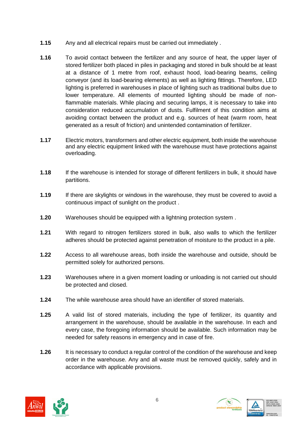- **1.15** Any and all electrical repairs must be carried out immediately .
- **1.16** To avoid contact between the fertilizer and any source of heat, the upper layer of stored fertilizer both placed in piles in packaging and stored in bulk should be at least at a distance of 1 metre from roof, exhaust hood, load-bearing beams, ceiling conveyor (and its load-bearing elements) as well as lighting fittings. Therefore, LED lighting is preferred in warehouses in place of lighting such as traditional bulbs due to lower temperature. All elements of mounted lighting should be made of nonflammable materials. While placing and securing lamps, it is necessary to take into consideration reduced accumulation of dusts. Fulfilment of this condition aims at avoiding contact between the product and e.g. sources of heat (warm room, heat generated as a result of friction) and unintended contamination of fertilizer.
- **1.17** Electric motors, transformers and other electric equipment, both inside the warehouse and any electric equipment linked with the warehouse must have protections against overloading.
- **1.18** If the warehouse is intended for storage of different fertilizers in bulk, it should have partitions.
- **1.19** If there are skylights or windows in the warehouse, they must be covered to avoid a continuous impact of sunlight on the product .
- **1.20** Warehouses should be equipped with a lightning protection system .
- **1.21** With regard to nitrogen fertilizers stored in bulk, also walls to which the fertilizer adheres should be protected against penetration of moisture to the product in a pile.
- **1.22** Access to all warehouse areas, both inside the warehouse and outside, should be permitted solely for authorized persons.
- **1.23** Warehouses where in a given moment loading or unloading is not carried out should be protected and closed.
- **1.24** The while warehouse area should have an identifier of stored materials.
- **1.25** A valid list of stored materials, including the type of fertilizer, its quantity and arrangement in the warehouse, should be available in the warehouse. In each and every case, the foregoing information should be available. Such information may be needed for safety reasons in emergency and in case of fire.
- **1.26** It is necessary to conduct a regular control of the condition of the warehouse and keep order in the warehouse. Any and all waste must be removed quickly, safely and in accordance with applicable provisions.



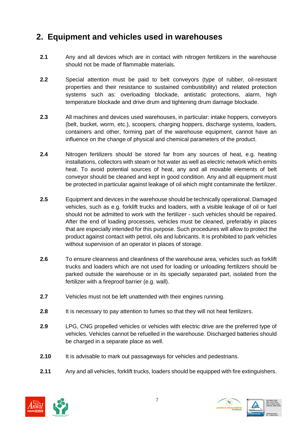# **2. Equipment and vehicles used in warehouses**

- **2.1** Any and all devices which are in contact with nitrogen fertilizers in the warehouse should not be made of flammable materials.
- **2.2** Special attention must be paid to belt conveyors (type of rubber, oil-resistant properties and their resistance to sustained combustibility) and related protection systems such as: overloading blockade, antistatic protections, alarm, high temperature blockade and drive drum and tightening drum damage blockade.
- **2.3** All machines and devices used warehouses, in particular: intake hoppers, conveyors (belt, bucket, worm, etc.), scoopers, charging hoppers, discharge systems, loaders, containers and other, forming part of the warehouse equipment, cannot have an influence on the change of physical and chemical parameters of the product.
- **2.4** Nitrogen fertilizers should be stored far from any sources of heat, e.g. heating installations, collectors with steam or hot water as well as electric network which emits heat. To avoid potential sources of heat, any and all movable elements of belt conveyor should be cleaned and kept in good condition. Any and all equipment must be protected in particular against leakage of oil which might contaminate the fertilizer.
- **2.5** Equipment and devices in the warehouse should be technically operational. Damaged vehicles, such as e.g. forklift trucks and loaders, with a visible leakage of oil or fuel should not be admitted to work with the fertilizer - such vehicles should be repaired. After the end of loading processes, vehicles must be cleaned, preferably in places that are especially intended for this purpose. Such procedures will allow to protect the product against contact with petrol, oils and lubricants. It is prohibited to park vehicles without supervision of an operator in places of storage.
- **2.6** To ensure cleanness and cleanliness of the warehouse area, vehicles such as forklift trucks and loaders which are not used for loading or unloading fertilizers should be parked outside the warehouse or in its specially separated part, isolated from the fertilizer with a fireproof barrier (e.g. wall).
- **2.7** Vehicles must not be left unattended with their engines running.
- **2.8** It is necessary to pay attention to fumes so that they will not heat fertilizers.
- **2.9** LPG, CNG propelled vehicles or vehicles with electric drive are the preferred type of vehicles. Vehicles cannot be refuelled in the warehouse. Discharged batteries should be charged in a separate place as well.
- **2.10** It is advisable to mark out passageways for vehicles and pedestrians.
- **2.11** Any and all vehicles, forklift trucks, loaders should be equipped with fire extinguishers.



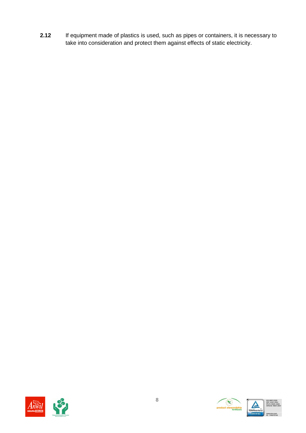**2.12** If equipment made of plastics is used, such as pipes or containers, it is necessary to take into consideration and protect them against effects of static electricity.



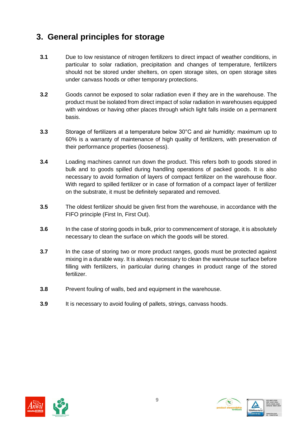# **3. General principles for storage**

- **3.1** Due to low resistance of nitrogen fertilizers to direct impact of weather conditions, in particular to solar radiation, precipitation and changes of temperature, fertilizers should not be stored under shelters, on open storage sites, on open storage sites under canvass hoods or other temporary protections.
- **3.2** Goods cannot be exposed to solar radiation even if they are in the warehouse. The product must be isolated from direct impact of solar radiation in warehouses equipped with windows or having other places through which light falls inside on a permanent basis.
- **3.3** Storage of fertilizers at a temperature below 30°C and air humidity: maximum up to 60% is a warranty of maintenance of high quality of fertilizers, with preservation of their performance properties (looseness).
- **3.4** Loading machines cannot run down the product. This refers both to goods stored in bulk and to goods spilled during handling operations of packed goods. It is also necessary to avoid formation of layers of compact fertilizer on the warehouse floor. With regard to spilled fertilizer or in case of formation of a compact layer of fertilizer on the substrate, it must be definitely separated and removed.
- **3.5** The oldest fertilizer should be given first from the warehouse, in accordance with the FIFO principle (First In, First Out).
- **3.6** In the case of storing goods in bulk, prior to commencement of storage, it is absolutely necessary to clean the surface on which the goods will be stored.
- **3.7** In the case of storing two or more product ranges, goods must be protected against mixing in a durable way. It is always necessary to clean the warehouse surface before filling with fertilizers, in particular during changes in product range of the stored fertilizer.
- **3.8** Prevent fouling of walls, bed and equipment in the warehouse.
- **3.9** It is necessary to avoid fouling of pallets, strings, canvass hoods.



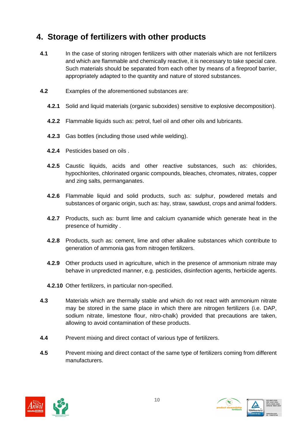### **4. Storage of fertilizers with other products**

- **4.1** In the case of storing nitrogen fertilizers with other materials which are not fertilizers and which are flammable and chemically reactive, it is necessary to take special care. Such materials should be separated from each other by means of a fireproof barrier, appropriately adapted to the quantity and nature of stored substances.
- **4.2** Examples of the aforementioned substances are:
	- **4.2.1** Solid and liquid materials (organic suboxides) sensitive to explosive decomposition).
	- **4.2.2** Flammable liquids such as: petrol, fuel oil and other oils and lubricants.
	- **4.2.3** Gas bottles (including those used while welding).
	- **4.2.4** Pesticides based on oils .
	- **4.2.5** Caustic liquids, acids and other reactive substances, such as: chlorides, hypochlorites, chlorinated organic compounds, bleaches, chromates, nitrates, copper and zing salts, permanganates.
	- **4.2.6** Flammable liquid and solid products, such as: sulphur, powdered metals and substances of organic origin, such as: hay, straw, sawdust, crops and animal fodders.
	- **4.2.7** Products, such as: burnt lime and calcium cyanamide which generate heat in the presence of humidity .
	- **4.2.8** Products, such as: cement, lime and other alkaline substances which contribute to generation of ammonia gas from nitrogen fertilizers.
	- **4.2.9** Other products used in agriculture, which in the presence of ammonium nitrate may behave in unpredicted manner, e.g. pesticides, disinfection agents, herbicide agents.
	- **4.2.10** Other fertilizers, in particular non-specified.
- **4.3** Materials which are thermally stable and which do not react with ammonium nitrate may be stored in the same place in which there are nitrogen fertilizers (i.e. DAP, sodium nitrate, limestone flour, nitro-chalk) provided that precautions are taken, allowing to avoid contamination of these products.
- **4.4** Prevent mixing and direct contact of various type of fertilizers.
- **4.5** Prevent mixing and direct contact of the same type of fertilizers coming from different manufacturers.



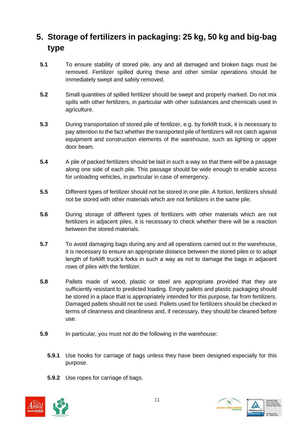# **5. Storage of fertilizers in packaging: 25 kg, 50 kg and big-bag type**

- **5.1** To ensure stability of stored pile, any and all damaged and broken bags must be removed. Fertilizer spilled during these and other similar operations should be immediately swept and safely removed.
- **5.2** Small quantities of spilled fertilizer should be swept and properly marked. Do not mix spills with other fertilizers, in particular with other substances and chemicals used in agriculture.
- **5.3** During transportation of stored pile of fertilizer, e.g. by forklift truck, it is necessary to pay attention to the fact whether the transported pile of fertilizers will not catch against equipment and construction elements of the warehouse, such as lighting or upper door beam.
- **5.4** A pile of packed fertilizers should be laid in such a way so that there will be a passage along one side of each pile. This passage should be wide enough to enable access for unloading vehicles, in particular in case of emergency.
- **5.5** Different types of fertilizer should not be stored in one pile. A fortiori, fertilizers should not be stored with other materials which are not fertilizers in the same pile.
- **5.6** During storage of different types of fertilizers with other materials which are not fertilizers in adjacent piles, it is necessary to check whether there will be a reaction between the stored materials.
- **5.7** To avoid damaging bags during any and all operations carried out in the warehouse, it is necessary to ensure an appropriate distance between the stored piles or to adapt length of forklift truck's forks in such a way as not to damage the bags in adjacent rows of piles with the fertilizer.
- **5.8** Pallets made of wood, plastic or steel are appropriate provided that they are sufficiently resistant to predicted loading. Empty pallets and plastic packaging should be stored in a place that is appropriately intended for this purpose, far from fertilizers. Damaged pallets should not be used. Pallets used for fertilizers should be checked in terms of cleanness and cleanliness and, if necessary, they should be cleaned before use.
- **5.9** In particular, you must not do the following in the warehouse:
	- **5.9.1** Use hooks for carriage of bags unless they have been designed especially for this purpose.
	- **5.9.2** Use ropes for carriage of bags.



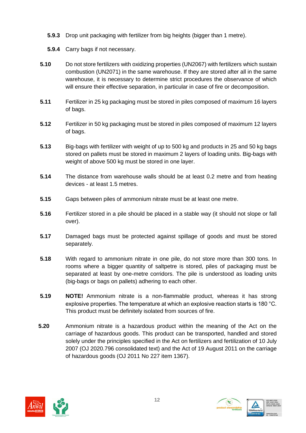- **5.9.3** Drop unit packaging with fertilizer from big heights (bigger than 1 metre).
- **5.9.4** Carry bags if not necessary.
- **5.10** Do not store fertilizers with oxidizing properties (UN2067) with fertilizers which sustain combustion (UN2071) in the same warehouse. If they are stored after all in the same warehouse, it is necessary to determine strict procedures the observance of which will ensure their effective separation, in particular in case of fire or decomposition.
- **5.11** Fertilizer in 25 kg packaging must be stored in piles composed of maximum 16 layers of bags.
- **5.12** Fertilizer in 50 kg packaging must be stored in piles composed of maximum 12 layers of bags.
- **5.13** Big-bags with fertilizer with weight of up to 500 kg and products in 25 and 50 kg bags stored on pallets must be stored in maximum 2 layers of loading units. Big-bags with weight of above 500 kg must be stored in one layer.
- **5.14** The distance from warehouse walls should be at least 0.2 metre and from heating devices - at least 1.5 metres.
- **5.15** Gaps between piles of ammonium nitrate must be at least one metre.
- **5.16** Fertilizer stored in a pile should be placed in a stable way (it should not slope or fall over).
- **5.17** Damaged bags must be protected against spillage of goods and must be stored separately.
- **5.18** With regard to ammonium nitrate in one pile, do not store more than 300 tons. In rooms where a bigger quantity of saltpetre is stored, piles of packaging must be separated at least by one-metre corridors. The pile is understood as loading units (big-bags or bags on pallets) adhering to each other.
- **5.19 NOTE!** Ammonium nitrate is a non-flammable product, whereas it has strong explosive properties. The temperature at which an explosive reaction starts is 180 °C. This product must be definitely isolated from sources of fire.
- **5.20** Ammonium nitrate is a hazardous product within the meaning of the Act on the carriage of hazardous goods. This product can be transported, handled and stored solely under the principles specified in the Act on fertilizers and fertilization of 10 July 2007 (OJ 2020.796 consolidated text) and the Act of 19 August 2011 on the carriage of hazardous goods (OJ 2011 No 227 item 1367).



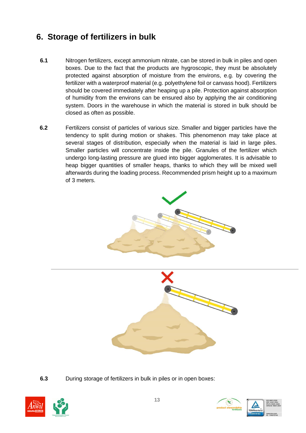# **6. Storage of fertilizers in bulk**

- **6.1** Nitrogen fertilizers, except ammonium nitrate, can be stored in bulk in piles and open boxes. Due to the fact that the products are hygroscopic, they must be absolutely protected against absorption of moisture from the environs, e.g. by covering the fertilizer with a waterproof material (e.g. polyethylene foil or canvass hood). Fertilizers should be covered immediately after heaping up a pile. Protection against absorption of humidity from the environs can be ensured also by applying the air conditioning system. Doors in the warehouse in which the material is stored in bulk should be closed as often as possible.
- **6.2** Fertilizers consist of particles of various size. Smaller and bigger particles have the tendency to split during motion or shakes. This phenomenon may take place at several stages of distribution, especially when the material is laid in large piles. Smaller particles will concentrate inside the pile. Granules of the fertilizer which undergo long-lasting pressure are glued into bigger agglomerates. It is advisable to heap bigger quantities of smaller heaps, thanks to which they will be mixed well afterwards during the loading process. Recommended prism height up to a maximum of 3 meters.





**6.3** During storage of fertilizers in bulk in piles or in open boxes:



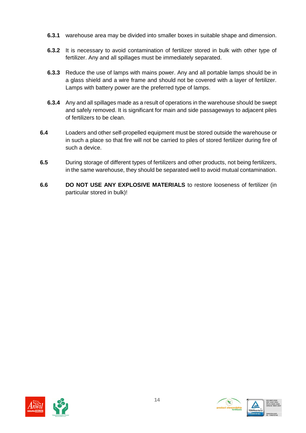- **6.3.1** warehouse area may be divided into smaller boxes in suitable shape and dimension.
- **6.3.2** It is necessary to avoid contamination of fertilizer stored in bulk with other type of fertilizer. Any and all spillages must be immediately separated.
- **6.3.3** Reduce the use of lamps with mains power. Any and all portable lamps should be in a glass shield and a wire frame and should not be covered with a layer of fertilizer. Lamps with battery power are the preferred type of lamps.
- **6.3.4** Any and all spillages made as a result of operations in the warehouse should be swept and safely removed. It is significant for main and side passageways to adjacent piles of fertilizers to be clean.
- **6.4** Loaders and other self-propelled equipment must be stored outside the warehouse or in such a place so that fire will not be carried to piles of stored fertilizer during fire of such a device.
- **6.5** During storage of different types of fertilizers and other products, not being fertilizers, in the same warehouse, they should be separated well to avoid mutual contamination.
- **6.6 DO NOT USE ANY EXPLOSIVE MATERIALS** to restore looseness of fertilizer (in particular stored in bulk)!



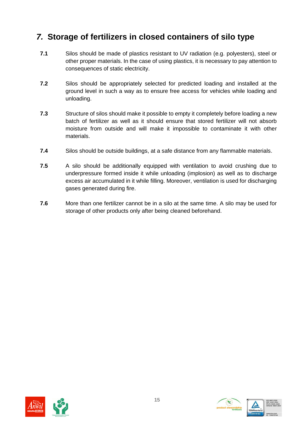### *7.* **Storage of fertilizers in closed containers of silo type**

- **7.1** Silos should be made of plastics resistant to UV radiation (e.g. polyesters), steel or other proper materials. In the case of using plastics, it is necessary to pay attention to consequences of static electricity.
- **7.2** Silos should be appropriately selected for predicted loading and installed at the ground level in such a way as to ensure free access for vehicles while loading and unloading.
- **7.3** Structure of silos should make it possible to empty it completely before loading a new batch of fertilizer as well as it should ensure that stored fertilizer will not absorb moisture from outside and will make it impossible to contaminate it with other materials.
- **7.4** Silos should be outside buildings, at a safe distance from any flammable materials.
- **7.5** A silo should be additionally equipped with ventilation to avoid crushing due to underpressure formed inside it while unloading (implosion) as well as to discharge excess air accumulated in it while filling. Moreover, ventilation is used for discharging gases generated during fire.
- **7.6** More than one fertilizer cannot be in a silo at the same time. A silo may be used for storage of other products only after being cleaned beforehand.